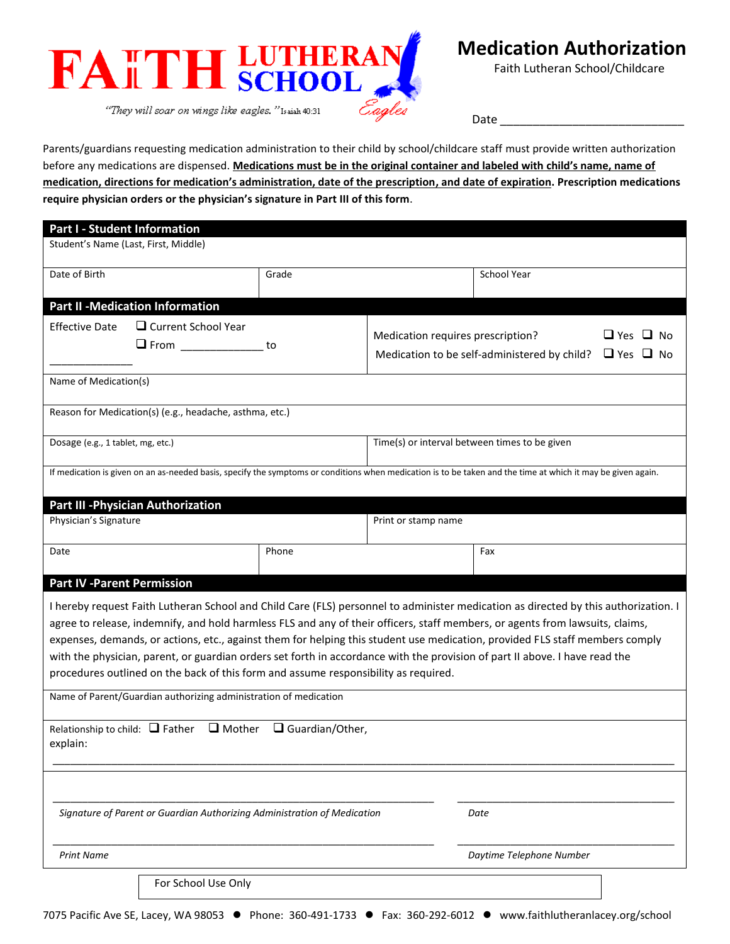

Faith Lutheran School/Childcare

Date \_\_\_\_\_\_\_\_\_\_\_\_\_\_\_\_\_\_\_\_\_\_\_\_\_\_\_\_

Parents/guardians requesting medication administration to their child by school/childcare staff must provide written authorization before any medications are dispensed. **Medications must be in the original container and labeled with child's name, name of medication, directions for medication's administration, date of the prescription, and date of expiration. Prescription medications require physician orders or the physician's signature in Part III of this form**.

| <b>Part I - Student Information</b>                                                                                                                                                                                                                                                                                                                                                                                                                                                                                                                                                                                        |                                                                          |       |                                               |                                                                   |                      |
|----------------------------------------------------------------------------------------------------------------------------------------------------------------------------------------------------------------------------------------------------------------------------------------------------------------------------------------------------------------------------------------------------------------------------------------------------------------------------------------------------------------------------------------------------------------------------------------------------------------------------|--------------------------------------------------------------------------|-------|-----------------------------------------------|-------------------------------------------------------------------|----------------------|
| Student's Name (Last, First, Middle)                                                                                                                                                                                                                                                                                                                                                                                                                                                                                                                                                                                       |                                                                          |       |                                               |                                                                   |                      |
| Date of Birth                                                                                                                                                                                                                                                                                                                                                                                                                                                                                                                                                                                                              |                                                                          | Grade |                                               | School Year                                                       |                      |
|                                                                                                                                                                                                                                                                                                                                                                                                                                                                                                                                                                                                                            | <b>Part II -Medication Information</b>                                   |       |                                               |                                                                   |                      |
| <b>Effective Date</b>                                                                                                                                                                                                                                                                                                                                                                                                                                                                                                                                                                                                      | $\Box$ Current School Year<br>$\Box$ From ______________                 | to    | Medication requires prescription?             | Medication to be self-administered by child? $\Box$ Yes $\Box$ No | $\Box$ Yes $\Box$ No |
| Name of Medication(s)                                                                                                                                                                                                                                                                                                                                                                                                                                                                                                                                                                                                      |                                                                          |       |                                               |                                                                   |                      |
|                                                                                                                                                                                                                                                                                                                                                                                                                                                                                                                                                                                                                            | Reason for Medication(s) (e.g., headache, asthma, etc.)                  |       |                                               |                                                                   |                      |
| Dosage (e.g., 1 tablet, mg, etc.)                                                                                                                                                                                                                                                                                                                                                                                                                                                                                                                                                                                          |                                                                          |       | Time(s) or interval between times to be given |                                                                   |                      |
| If medication is given on an as-needed basis, specify the symptoms or conditions when medication is to be taken and the time at which it may be given again.                                                                                                                                                                                                                                                                                                                                                                                                                                                               |                                                                          |       |                                               |                                                                   |                      |
|                                                                                                                                                                                                                                                                                                                                                                                                                                                                                                                                                                                                                            | <b>Part III - Physician Authorization</b>                                |       |                                               |                                                                   |                      |
| Physician's Signature                                                                                                                                                                                                                                                                                                                                                                                                                                                                                                                                                                                                      |                                                                          |       | Print or stamp name                           |                                                                   |                      |
| Date                                                                                                                                                                                                                                                                                                                                                                                                                                                                                                                                                                                                                       |                                                                          | Phone |                                               | Fax                                                               |                      |
| <b>Part IV - Parent Permission</b>                                                                                                                                                                                                                                                                                                                                                                                                                                                                                                                                                                                         |                                                                          |       |                                               |                                                                   |                      |
| I hereby request Faith Lutheran School and Child Care (FLS) personnel to administer medication as directed by this authorization. I<br>agree to release, indemnify, and hold harmless FLS and any of their officers, staff members, or agents from lawsuits, claims,<br>expenses, demands, or actions, etc., against them for helping this student use medication, provided FLS staff members comply<br>with the physician, parent, or guardian orders set forth in accordance with the provision of part II above. I have read the<br>procedures outlined on the back of this form and assume responsibility as required. |                                                                          |       |                                               |                                                                   |                      |
| Name of Parent/Guardian authorizing administration of medication                                                                                                                                                                                                                                                                                                                                                                                                                                                                                                                                                           |                                                                          |       |                                               |                                                                   |                      |
| Relationship to child: $\Box$ Father $\Box$ Mother $\Box$ Guardian/Other,<br>explain:                                                                                                                                                                                                                                                                                                                                                                                                                                                                                                                                      |                                                                          |       |                                               |                                                                   |                      |
|                                                                                                                                                                                                                                                                                                                                                                                                                                                                                                                                                                                                                            |                                                                          |       |                                               |                                                                   |                      |
|                                                                                                                                                                                                                                                                                                                                                                                                                                                                                                                                                                                                                            | Signature of Parent or Guardian Authorizing Administration of Medication |       |                                               | Date                                                              |                      |
| <b>Print Name</b>                                                                                                                                                                                                                                                                                                                                                                                                                                                                                                                                                                                                          |                                                                          |       |                                               | Daytime Telephone Number                                          |                      |
|                                                                                                                                                                                                                                                                                                                                                                                                                                                                                                                                                                                                                            | For School Use Only                                                      |       |                                               |                                                                   |                      |